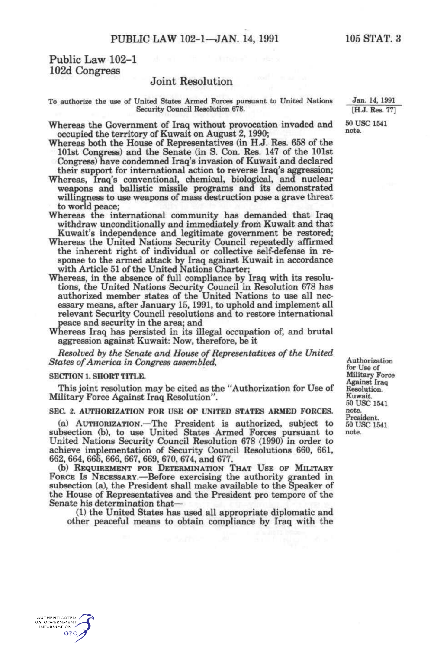## **Public Law 102-1 102d Congress**

## **Joint Resolution**

To authorize the use of United States Armed Forces pursuant to United Nations Security Council Resolution 678.

- Whereas the Government of Iraq without provocation invaded and occupied the territory of Kuwait on August 2,1990;
- Whereas both the House of Representatives (in H.J. Res. 658 of the 101st Congress) and the Senate (in S. Con. Res. 147 of the 101st Congress) have condemned Iraq's invasion of Kuwait and declared their support for international action to reverse Iraq's aggression;
- Whereas, Iraq's conventional, chemical, biological, and nuclear weapons and ballistic missile programs and its demonstrated willingness to use weapons of mass destruction pose a grave threat to world peace;
- Whereas the international community has demanded that Iraq withdraw unconditionally and immediately from Kuwait and that Kuwait's independence and legitimate government be restored;
- Whereas the United Nations Security Council repeatedly affirmed the inherent right of individual or collective self-defense in response to the armed attack by Iraq against Kuwait in accordance with Article 51 of the United Nations Charter;
- Whereas, in the absence of full compliance by Iraq with its resolutions, the United Nations Security Council in Resolution 678 has authorized member states of the United Nations to use all necessary means, after January 15,1991, to uphold and implement all relevant Security Council resolutions and to restore international peace and security in the area; and
- Whereas Iraq has persisted in its illegal occupation of, and brutal aggression against Kuwait: Now, therefore, be it

*Resolved by the Senate and House of Representatives of the United States of America in Congress assembled,* 

## SECTION 1. SHORT TITLE.

This joint resolution may be cited as the "Authorization for Use of Military Force Against Iraq Resolution",

SEC. 2. AUTHORIZATION FOR USE OF UNITED STATES ARMED FORCES.

(a) AUTHORIZATION.—The President is authorized, subject to subsection (b), to use United States Armed Forces pursuant to United Nations Security Council Resolution 678 (1990) in order to achieve implementation of Security Council Resolutions 660, 661, 662, 664, 665, 666, 667, 669, 670, 674, and 677.

(b) REQUIREMENT FOR DETERMINATION THAT USE OF MILITARY FORCE Is NECESSARY.—Before exercising the authority granted in subsection (a), the President shall make available to the Speaker of the House of Representatives and the President pro tempore of the Senate his determination that—

(1) the United States has used all appropriate diplomatic and other peaceful means to obtain compliance by Iraq with the

Authorization for Use of Military Force Against Iraq Resolution. Kuwait. 50 USC 1541 note. President. 50 USC 1541 note.

Jan. 14, 1991 [H.J. Res. 77]

50 USC 1541 note.